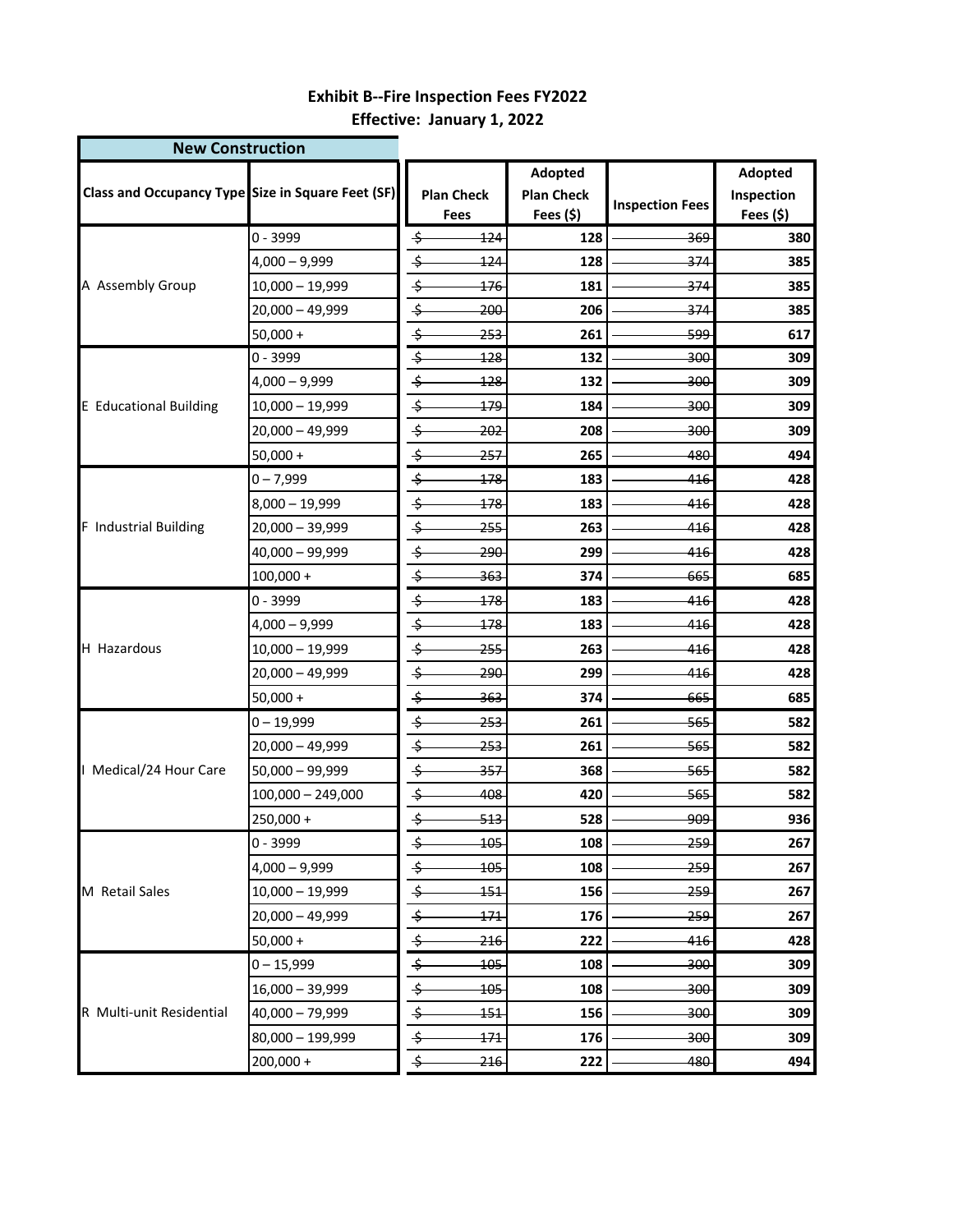## **Effective: January 1, 2022 Exhibit B--Fire Inspection Fees FY2022**

**New Construction** 

| <b>New Construction</b>       |                                                          |                         |                |                   |                        |            |
|-------------------------------|----------------------------------------------------------|-------------------------|----------------|-------------------|------------------------|------------|
|                               | <b>Class and Occupancy Type Size in Square Feet (SF)</b> | <b>Plan Check</b>       |                | Adopted           |                        | Adopted    |
|                               |                                                          |                         |                | <b>Plan Check</b> | <b>Inspection Fees</b> | Inspection |
|                               |                                                          |                         | Fees           | Fees $(5)$        |                        | Fees (\$)  |
|                               | $0 - 3999$                                               | \$                      | 124            | 128               | 369                    | 380        |
| A Assembly Group              | $4,000 - 9,999$                                          | \$                      | 124            | 128               | 374                    | 385        |
|                               | $10,000 - 19,999$                                        | $\Rightarrow$           | 176            | 181               | 374                    | 385        |
|                               | $20,000 - 49,999$                                        | \$                      | 200            | 206               | -374                   | 385        |
|                               | $50,000 +$<br>$0 - 3999$                                 | \$<br>$\frac{1}{2}$     | 253            | 261               | -599                   | 617        |
|                               |                                                          | ⇆                       | 128            | 132               | 300                    | 309        |
|                               | $4,000 - 9,999$                                          | \$                      | 128            | 132               | <del>300</del>         | 309        |
| <b>E</b> Educational Building | $10,000 - 19,999$                                        |                         | 179            | 184               | 300                    | 309        |
|                               | $20,000 - 49,999$                                        | \$<br>$\overline{\div}$ | 202            | 208               | 300                    | 309        |
|                               | $50,000 +$                                               |                         | -257           | 265               | 480                    | 494        |
|                               | $0 - 7,999$                                              | \$                      | 178            | 183               | 416                    | 428        |
|                               | $8,000 - 19,999$                                         | \$                      | 178            | 183               | 416                    | 428        |
| F Industrial Building         | $20,000 - 39,999$                                        | \$                      | 255            | 263               | 416                    | 428        |
|                               | 40,000 - 99,999                                          | \$                      | 290            | 299               | 416                    | 428        |
|                               | $100,000 +$                                              | \$                      | 363            | 374               | 665                    | 685        |
|                               | $0 - 3999$                                               | \$                      | 178            | 183               | 416                    | 428        |
|                               | $4,000 - 9,999$                                          | $\Rightarrow$           | 178            | 183               | 416                    | 428        |
| H Hazardous                   | $10,000 - 19,999$                                        | $\overline{\div}$       | 255            | 263               | 416                    | 428        |
|                               | $20,000 - 49,999$                                        | $\div$                  | 290            | 299               | 416                    | 428        |
|                               | $50,000 +$                                               | $\frac{1}{2}$           | <del>363</del> | 374               | 665                    | 685        |
|                               | $0 - 19,999$                                             | $\div$                  | 253            | 261               | 565                    | 582        |
|                               | $20,000 - 49,999$                                        | $\div$                  | <del>253</del> | 261               | <del>565</del>         | 582        |
| I Medical/24 Hour Care        | 50,000 - 99,999                                          | $\overline{\div}$       | 357            | 368               | 565                    | 582        |
|                               | $100,000 - 249,000$                                      | \$                      | 408            | 420               | 565                    | 582        |
|                               | $250,000 +$                                              | $\frac{1}{2}$           | 513            | 528               | <u>ووو.</u>            | 936        |
|                               | $0 - 3999$                                               | \$                      | 105            | 108               | 259                    | 267        |
|                               | $4,000 - 9,999$                                          | $\div$                  | 105            | 108               | 259                    | 267        |
| M Retail Sales                | $10,000 - 19,999$                                        | \$                      | 151            | 156               | 259                    | 267        |
|                               | $20,000 - 49,999$                                        | \$                      | <u> 171 </u>   | 176               | -259-                  | 267        |
|                               | $50,000 +$                                               | $\overline{\div}$       | 216            | 222               | 416                    | 428        |
|                               | $0 - 15,999$                                             | \$                      | 105            | 108               | 300                    | 309        |
|                               | $16,000 - 39,999$                                        | $\div$                  | <del>105</del> | 108               | 300                    | 309        |
| R Multi-unit Residential      | 40,000 - 79,999                                          | $\overline{\div}$       | 151            | 156               | 300                    | 309        |
|                               | 80,000 - 199,999                                         | ⇆                       | 171            | 176               | 300                    | 309        |
|                               | $200,000 +$                                              | \$                      | 216            | 222               | 480                    | 494        |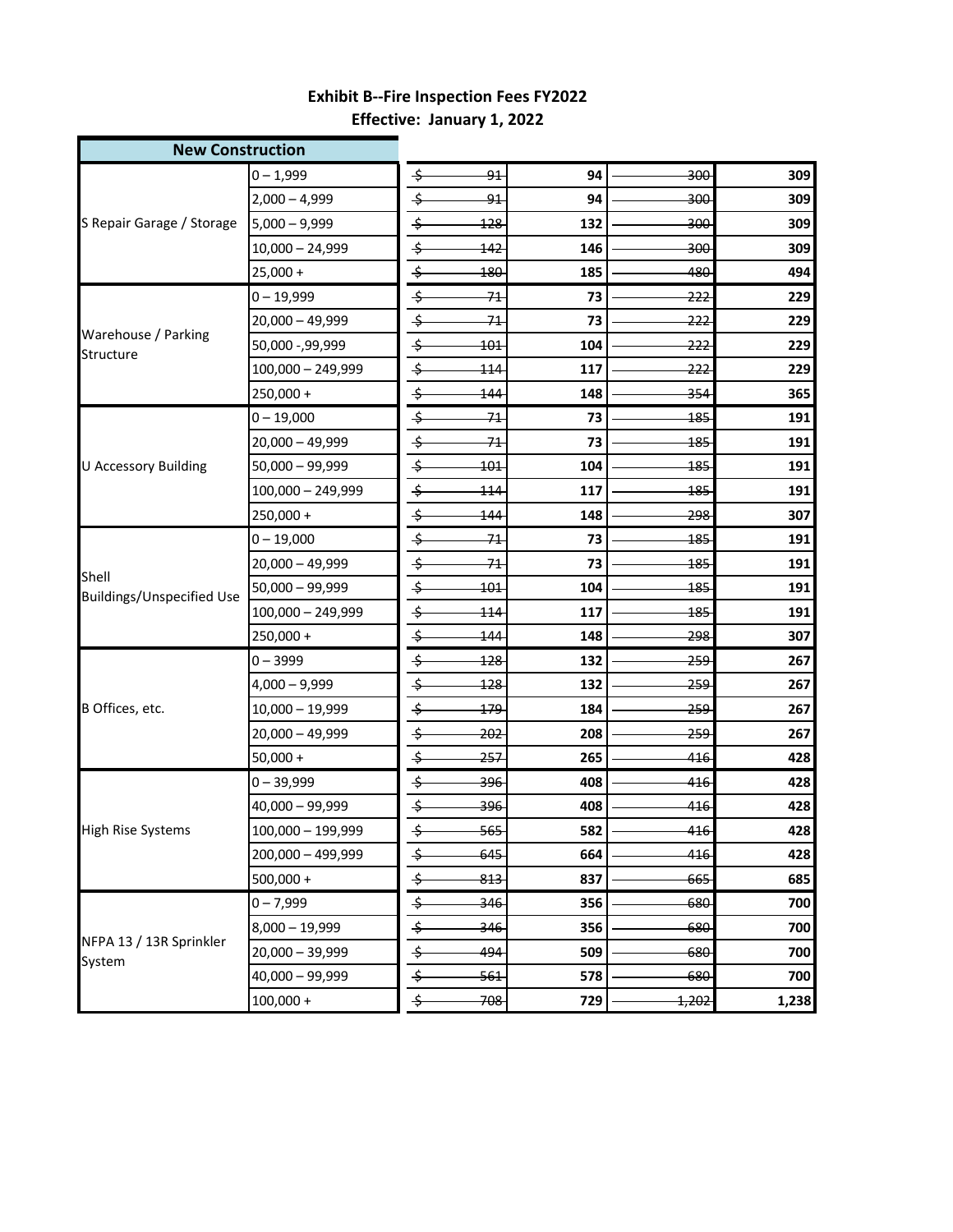## **Effective: January 1, 2022 Exhibit B--Fire Inspection Fees FY2022**

| <b>New Construction</b>            |                   |                   |                |     |                |       |
|------------------------------------|-------------------|-------------------|----------------|-----|----------------|-------|
|                                    | $0 - 1,999$       | \$                | 91             | 94  | <del>300</del> | 309   |
| S Repair Garage / Storage          | $2,000 - 4,999$   | \$                | 91             | 94  | 300            | 309   |
|                                    | $5,000 - 9,999$   | \$                | 128            | 132 | <del>300</del> | 309   |
|                                    | 10,000 - 24,999   | \$                | 142            | 146 | <del>300</del> | 309   |
|                                    | $25,000 +$        | \$                | 180            | 185 | 480            | 494   |
|                                    | $0 - 19,999$      | \$                | -71            | 73  | 222            | 229   |
|                                    | 20,000 - 49,999   | $\Rightarrow$     | 71             | 73  | <del>222</del> | 229   |
| Warehouse / Parking<br>Structure   | 50,000 -,99,999   | $\overline{\div}$ | 101            | 104 | 222            | 229   |
|                                    | 100,000 - 249,999 | \$                | 114            | 117 | <del>222</del> | 229   |
|                                    | 250,000+          | $\overline{\div}$ | 144            | 148 | 354            | 365   |
|                                    | $0 - 19,000$      | \$                | 71             | 73  | 185            | 191   |
|                                    | $20,000 - 49,999$ | \$                | 71             | 73  | 185            | 191   |
| <b>U Accessory Building</b>        | $50,000 - 99,999$ | $\overline{\div}$ | 101            | 104 | 185            | 191   |
|                                    | 100,000 - 249,999 | \$                | 114            | 117 | 185            | 191   |
|                                    | 250,000+          | \$                | 144            | 148 | <del>298</del> | 307   |
|                                    | $0 - 19,000$      | \$                | -71            | 73  | 185            | 191   |
|                                    | 20,000 - 49,999   | \$                | -71            | 73  | <del>185</del> | 191   |
| Shell<br>Buildings/Unspecified Use | $50,000 - 99,999$ | $\overline{\div}$ | 101            | 104 | 185            | 191   |
|                                    | 100,000 - 249,999 | \$                | 114            | 117 | <u> 185</u>    | 191   |
|                                    | 250,000+          | \$                | 144            | 148 | <del>298</del> | 307   |
|                                    | $0 - 3999$        | \$                | 128            | 132 | 259            | 267   |
|                                    | 4,000 - 9,999     | \$                | <u> 128</u>    | 132 | <del>259</del> | 267   |
| B Offices, etc.                    | $10,000 - 19,999$ | \$                | 179            | 184 | 259            | 267   |
|                                    | 20,000 - 49,999   | \$                | 202            | 208 | <del>259</del> | 267   |
|                                    | $50,000 +$        | $\overline{\div}$ | 257            | 265 | 416            | 428   |
|                                    | $0 - 39,999$      | \$                | <del>396</del> | 408 | 416            | 428   |
|                                    | 40,000 - 99,999   | $\Rightarrow$     | <del>396</del> | 408 | 416            | 428   |
| <b>High Rise Systems</b>           | 100,000 - 199,999 | $\overline{\div}$ | 565            | 582 | 416            | 428   |
|                                    | 200,000 - 499,999 | \$                | 645            | 664 | 416            | 428   |
|                                    | $500,000 +$       | \$                | 813            | 837 | 665            | 685   |
|                                    | $0 - 7,999$       | \$                | 346            | 356 | 680            | 700   |
|                                    | $8,000 - 19,999$  | $\frac{1}{2}$     | 346            | 356 | 680            | 700   |
| NFPA 13 / 13R Sprinkler<br>System  | 20,000 - 39,999   | $\overline{\div}$ | 494            | 509 | 680            | 700   |
|                                    | 40,000 - 99,999   | \$                | <del>561</del> | 578 | 680            | 700   |
|                                    | $100,000 +$       | \$                | 708            | 729 | 1,202          | 1,238 |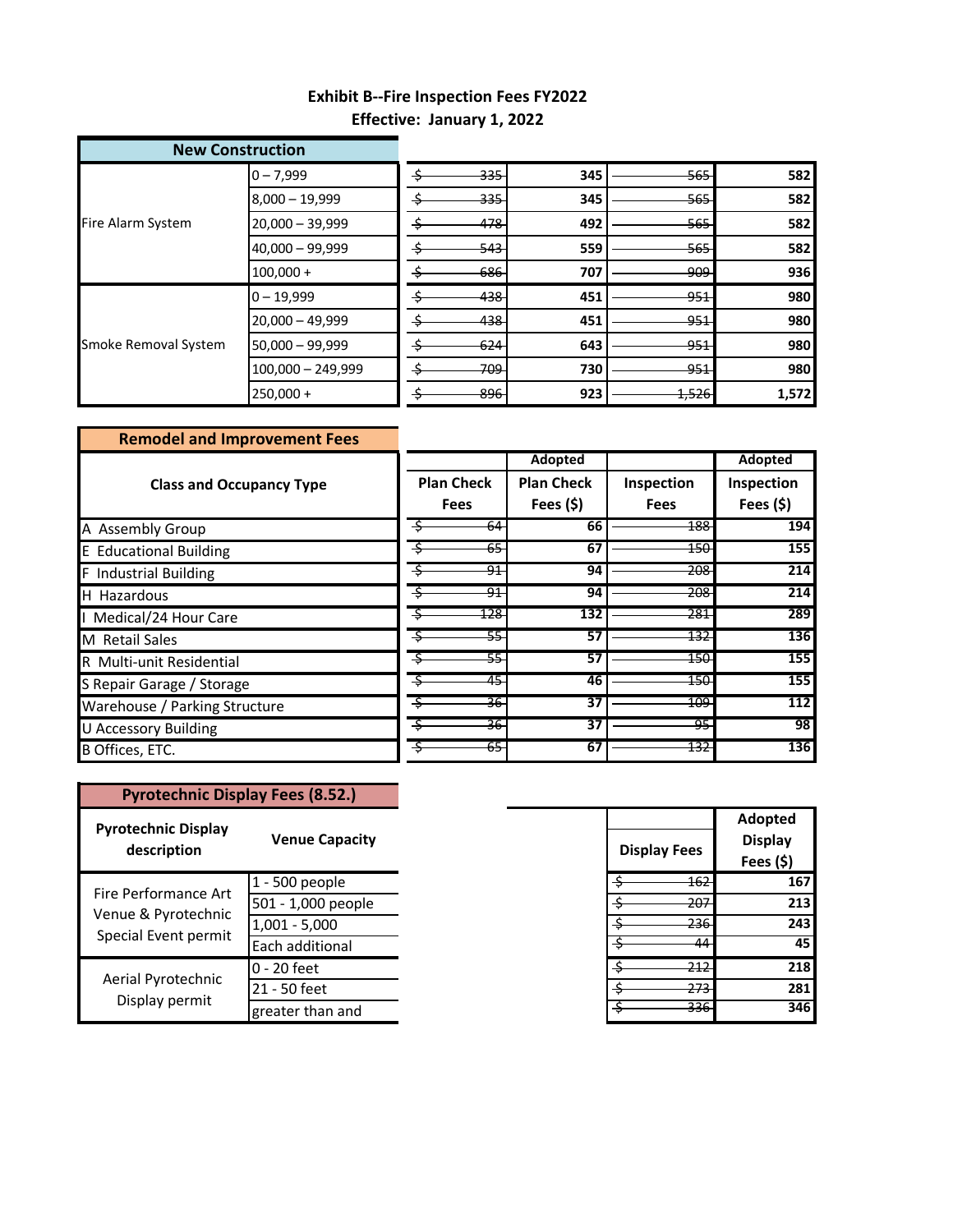## **Effective: January 1, 2022 Exhibit B--Fire Inspection Fees FY2022**

| <b>New Construction</b> |                     |                 |     |                 |       |
|-------------------------|---------------------|-----------------|-----|-----------------|-------|
| Fire Alarm System       | $0 - 7,999$         | <del>335</del>  | 345 | -565-           | 582   |
|                         | $8,000 - 19,999$    | <del>335</del>  | 345 | <del>565</del>  | 582   |
|                         | $20,000 - 39,999$   | 478             | 492 | $-565$          | 582   |
|                         | 40,000 - 99,999     | 543             | 559 | <del>565.</del> | 582   |
|                         | $100,000 +$         | 686             | 707 | -909            | 936   |
| Smoke Removal System    | $0 - 19,999$        | 438<br>-Ş       | 451 | $-951$          | 980   |
|                         | $20,000 - 49,999$   | 438             | 451 | -951            | 980   |
|                         | $50,000 - 99,999$   | 624             | 643 | $-951$          | 980   |
|                         | $100,000 - 249,999$ | <del>709-</del> | 730 | <del>951</del>  | 980   |
|                         | $250,000 +$         | 896             | 923 | 1,526           | 1,572 |

| <b>Remodel and Improvement Fees</b> |                   |                   |             |            |
|-------------------------------------|-------------------|-------------------|-------------|------------|
|                                     |                   | Adopted           |             | Adopted    |
| <b>Class and Occupancy Type</b>     | <b>Plan Check</b> | <b>Plan Check</b> | Inspection  | Inspection |
|                                     | <b>Fees</b>       | Fees $(5)$        | <b>Fees</b> | Fees $(5)$ |
| A Assembly Group                    | 64                | 66                | <u> 188</u> | 194        |
| <b>E</b> Educational Building       | 65                | 67                | 150-        | 155        |
| <b>F</b> Industrial Building        | $\overline{91}$   | 94                | 208         | 214        |
| H Hazardous                         | $\overline{91}$   | 94                | 208         | 214        |
| Medical/24 Hour Care                | $\overline{128}$  | 132               | 281         | 289        |
| <b>M</b> Retail Sales               | 55-               | 57                | 132         | 136        |
| R Multi-unit Residential            | 55                | 57                | 150         | 155        |
| S Repair Garage / Storage           | 45<br>٠S          | 46                | 150         | 155        |
| Warehouse / Parking Structure       | 36                | 37                | 109         | 112        |
| <b>U Accessory Building</b>         | မို<br>ي۔         | 37                | -95         | 98         |
| B Offices, ETC.                     | 65                | 67                | 132         | 136        |

| <b>Pyrotechnic Display Fees (8.52.)</b>                             |                       |  |  |
|---------------------------------------------------------------------|-----------------------|--|--|
| <b>Pyrotechnic Display</b><br>description                           | <b>Venue Capacity</b> |  |  |
| Fire Performance Art<br>Venue & Pyrotechnic<br>Special Event permit | 1 - 500 people        |  |  |
|                                                                     | 501 - 1,000 people    |  |  |
|                                                                     | $1,001 - 5,000$       |  |  |
|                                                                     | Each additional       |  |  |
|                                                                     | 0 - 20 feet           |  |  |
| Aerial Pyrotechnic                                                  | 21 - 50 feet          |  |  |
| Display permit                                                      | greater than and      |  |  |

| <b>Display Fees</b> | <b>Adopted</b><br><b>Display</b><br>Fees (\$) |
|---------------------|-----------------------------------------------|
| \$<br>162           | 167                                           |
| ċ<br>20             | 213                                           |
| \$                  | 243                                           |
|                     | 45                                            |
| ċ<br>21             | 218                                           |
| \$                  | 281                                           |
|                     | 346                                           |